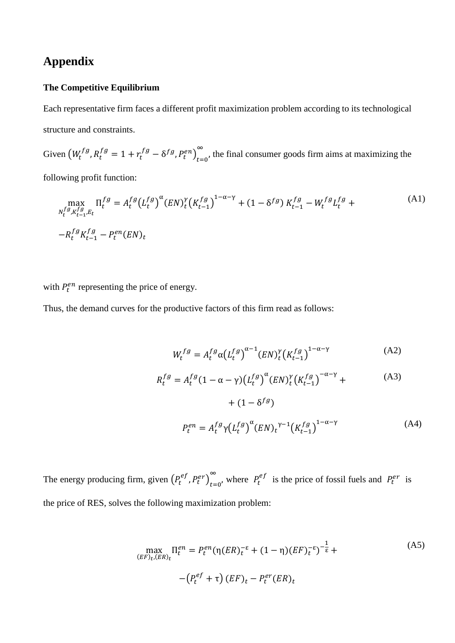# **Appendix**

## **The Competitive Equilibrium**

Each representative firm faces a different profit maximization problem according to its technological structure and constraints.

Given  $(W_t^{fg}, R_t^{fg} = 1 + r_t^{fg} - \delta^{fg}, P_t^{en})_{t=0}^{\infty}$  $\sum_{t=0}^{\infty}$ , the final consumer goods firm aims at maximizing the following profit function:

$$
\max_{\substack{N_t^{fg}, K_{t-1}^{fg}, E_t \\ \cdots E_t}} \Pi_t^{fg} = A_t^{fg} (L_t^{fg})^{\alpha} (EN)_t^{\gamma} (K_{t-1}^{fg})^{1-\alpha-\gamma} + (1 - \delta^{fg}) K_{t-1}^{fg} - W_t^{fg} L_t^{fg} +
$$
\n(A1)\n
$$
-R_t^{fg} K_{t-1}^{fg} - P_t^{en} (EN)_t
$$

with  $P_t^{en}$  representing the price of energy.

Thus, the demand curves for the productive factors of this firm read as follows:

$$
W_t^{fg} = A_t^{fg} \alpha \left( L_t^{fg} \right)^{\alpha - 1} \left( EN \right)_t^{\gamma} \left( K_{t-1}^{fg} \right)^{1 - \alpha - \gamma} \tag{A2}
$$

$$
R_t^{fg} = A_t^{fg} (1 - \alpha - \gamma) (L_t^{fg})^{\alpha} (EN)_t^{\gamma} (K_{t-1}^{fg})^{-\alpha - \gamma} + \tag{A3}
$$

$$
+(1 - \delta^{fg})
$$
  

$$
P_t^{en} = A_t^{fg} \gamma (L_t^{fg})^{\alpha} (EN)_t^{\gamma - 1} (K_{t-1}^{fg})^{1 - \alpha - \gamma}
$$
 (A4)

The energy producing firm, given  $(P_t^{ef}, P_t^{er})_{t=0}^{\infty}$  $\sum_{t=0}^{\infty}$ , where  $P_t^{ef}$  is the price of fossil fuels and  $P_t^{er}$  is the price of RES, solves the following maximization problem:

$$
\max_{\substack{(EF)_t, (ER)_t}} \Pi_t^{en} = P_t^{en} (\eta (ER)_t^{-\varepsilon} + (1 - \eta) (EF)_t^{-\varepsilon})^{-\frac{1}{\varepsilon}} +
$$
\n
$$
- \left( P_t^{ef} + \tau \right) (EF)_t - P_t^{er} (ER)_t
$$
\n(A5)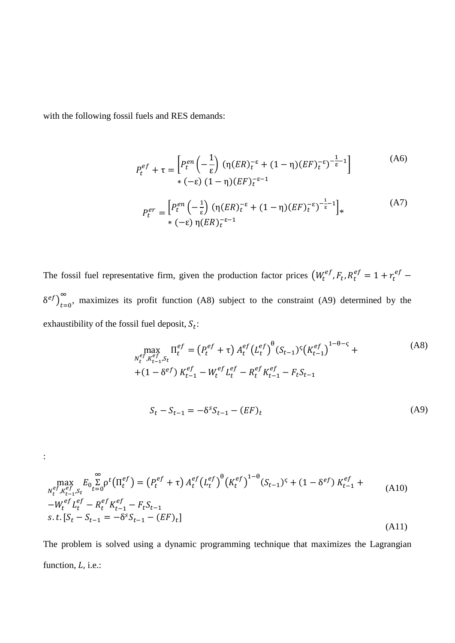with the following fossil fuels and RES demands:

:

$$
P_t^{ef} + \tau = \left[ P_t^{en} \left( -\frac{1}{\varepsilon} \right) (\eta (ER)_{t}^{-\varepsilon} + (1 - \eta) (EF)_{t}^{-\varepsilon})^{-\frac{1}{\varepsilon} - 1} \right]
$$
(A6)  
\*  $(-\varepsilon) (1 - \eta) (EF)_{t}^{-\varepsilon - 1}$ 

$$
P_t^{er} = \left[ P_t^{en} \left( -\frac{1}{\varepsilon} \right) (\eta (ER)_t^{-\varepsilon} + (1 - \eta) (EF)_t^{-\varepsilon})^{-\frac{1}{\varepsilon} - 1} \right]_*
$$
\n(A7)

The fossil fuel representative firm, given the production factor prices  $(W_t^{ef}, F_t, R_t^{ef} = 1 + r_t^{ef} \delta^{ef}$ ) $_{t=0}^{\infty}$ , maximizes its profit function (A8) subject to the constraint (A9) determined by the exhaustibility of the fossil fuel deposit,  $S_t$ :

$$
\max_{\substack{N_t^{ef}, K_{t-1}^{ef}, S_t}} \Pi_t^{ef} = (P_t^{ef} + \tau) A_t^{ef} (L_t^{ef})^{\theta} (S_{t-1})^{\zeta} (K_{t-1}^{ef})^{1-\theta-\zeta} + (1 - \delta^{ef}) K_{t-1}^{ef} - W_t^{ef} L_t^{ef} - R_t^{ef} K_{t-1}^{ef} - F_t S_{t-1}
$$
\n
$$
S_t - S_{t-1} = -\delta^s S_{t-1} - (EF)_t \tag{A9}
$$

$$
\max_{N_t^{ef}, K_{t-1}^{ef}, S_t} E_0 \sum_{t=0}^{\infty} \rho^t \left(\Pi_t^{ef}\right) = \left(P_t^{ef} + \tau\right) A_t^{ef} \left(L_t^{ef}\right)^{\theta} \left(K_t^{ef}\right)^{1-\theta} (S_{t-1})^{\varsigma} + (1 - \delta^{ef}) K_{t-1}^{ef} + \frac{-W_t^{ef} L_t^{ef} - R_t^{ef} K_{t-1}^{ef} - F_t S_{t-1}}{s.t. [S_t - S_{t-1} = -\delta^s S_{t-1} - (EF)_t]}
$$
\n(A11)

The problem is solved using a dynamic programming technique that maximizes the Lagrangian function,  $L$ , i.e.: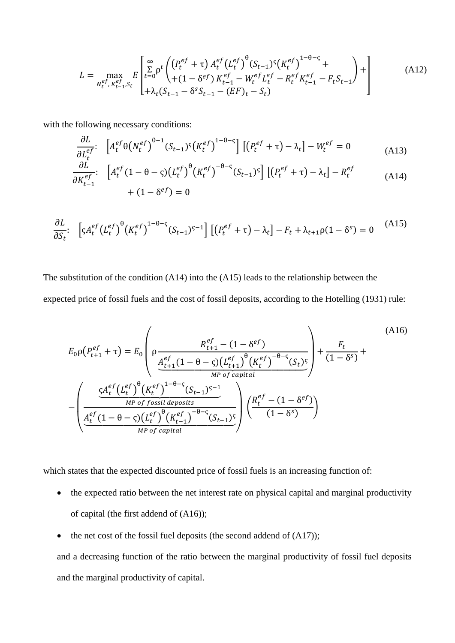$$
L = \max_{N_t^{ef}, K_{t-1}^{ef}, S_t} E \left[ \sum_{t=0}^{\infty} \rho^t \left( \frac{(P_t^{ef} + \tau) A_t^{ef} (L_t^{ef})^{\theta} (S_{t-1})^{\zeta} (K_t^{ef})^{1-\theta-\zeta}}{+(1-\delta^{ef}) K_{t-1}^{ef} - W_t^{ef} L_t^{ef} - R_t^{ef} K_{t-1}^{ef} - F_t S_{t-1}} \right) + \right]
$$
(A12)

with the following necessary conditions:

$$
\frac{\partial L}{\partial L_t^{ef}} \left[ A_t^{ef} \theta \left( N_t^{ef} \right)^{\theta - 1} (S_{t-1})^{\varsigma} \left( K_t^{ef} \right)^{1 - \theta - \varsigma} \right] \left[ \left( P_t^{ef} + \tau \right) - \lambda_t \right] - W_t^{ef} = 0 \tag{A13}
$$

$$
\frac{\partial L}{\partial K_{t-1}^{ef}} \left[ A_t^{ef} (1 - \theta - \varsigma) (L_t^{ef})^{\theta} (K_t^{ef})^{-\theta - \varsigma} (S_{t-1})^{\varsigma} \right] \left[ (P_t^{ef} + \tau) - \lambda_t \right] - R_t^{ef} \tag{A14}
$$
\n
$$
+ (1 - \delta^{ef}) = 0
$$

$$
\frac{\partial L}{\partial S_t} \left[ \varsigma A_t^{ef} \left( L_t^{ef} \right)^{\theta} \left( K_t^{ef} \right)^{1-\theta-\varsigma} (S_{t-1})^{\varsigma-1} \right] \left[ \left( P_t^{ef} + \tau \right) - \lambda_t \right] - F_t + \lambda_{t+1} \rho (1 - \delta^s) = 0 \tag{A15}
$$

The substitution of the condition  $(A14)$  into the  $(A15)$  leads to the relationship between the expected price of fossil fuels and the cost of fossil deposits, according to the Hotelling (1931) rule:

$$
E_0 \rho(P_{t+1}^{ef} + \tau) = E_0 \left( \rho \frac{R_{t+1}^{ef} - (1 - \delta^{ef})}{\frac{A_{t+1}^{ef} (1 - \theta - \varsigma) (L_{t+1}^{ef})^{\theta} (K_t^{ef})^{-\theta - \varsigma}}{M^p \text{ of capital}}} \right) + \frac{F_t}{(1 - \delta^s)} + \frac{F_t}{(1 - \delta^s)} + \frac{F_t}{M^p \text{ of capital}}
$$
\n
$$
-\left( \frac{\frac{C_0 A_t^{ef} (L_t^{ef})^{\theta} (K_t^{ef})^{1 - \theta - \varsigma}}{M^p \text{ of fossil deposits}}}{\frac{A_t^{ef} (1 - \theta - \varsigma) (L_t^{ef})^{\theta} (K_{t-1}^{ef})^{-\theta - \varsigma}}{M^p \text{ of capital}}} \right) \left( \frac{R_t^{ef} - (1 - \delta^{ef})}{(1 - \delta^s)} \right)
$$
\n(A16)

which states that the expected discounted price of fossil fuels is an increasing function of:

- the expected ratio between the net interest rate on physical capital and marginal productivity of capital (the first addend of  $(A16)$ );
- the net cost of the fossil fuel deposits (the second addend of (A17));  $\bullet$

and a decreasing function of the ratio between the marginal productivity of fossil fuel deposits and the marginal productivity of capital.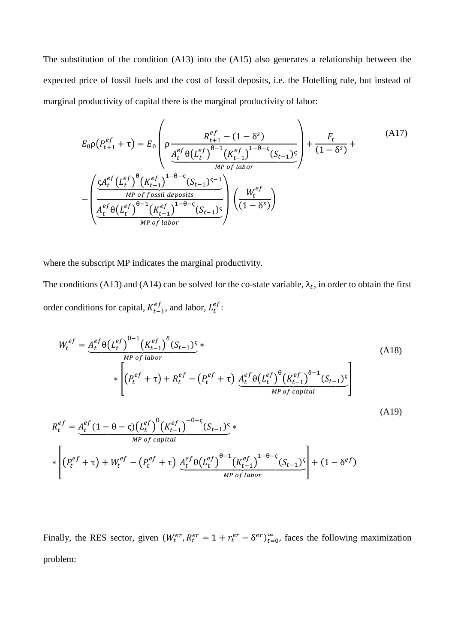The substitution of the condition  $(A13)$  into the  $(A15)$  also generates a relationship between the expected price of fossil fuels and the cost of fossil deposits, i.e. the Hotelling rule, but instead of marginal productivity of capital there is the marginal productivity of labor:

$$
E_0 \rho \left( P_{t+1}^{ef} + \tau \right) = E_0 \left( \rho \frac{R_{t+1}^{ef} - (1 - \delta^s)}{\underbrace{A_t^{ef} \theta \left( L_t^{ef} \right)^{\theta-1} \left( K_{t-1}^{ef} \right)^{1-\theta-\varsigma} \left( S_{t-1} \right)^{\varsigma}}_{MP \ of \ labor} \right) + \frac{F_t}{(1 - \delta^s)} + \frac{(A17)}{\underbrace{A_t^{ef} \left( L_t^{ef} \right)^{\theta} \left( K_{t-1}^{ef} \right)^{1-\theta-\varsigma} \left( S_{t-1} \right)^{\varsigma-1}}_{MP \ of \ f \text{essil} \text{ deposits}} \right)}_{MP \ of \ [a \text{thor} \text{the second term} \text{the second term} \text{the second term} \text{the second term} \text{the second term} \text{the second term} \text{the second term} \tag{A17}
$$

where the subscript MP indicates the marginal productivity.

The conditions (A13) and (A14) can be solved for the co-state variable,  $\lambda_t$ , in order to obtain the first order conditions for capital,  $K_{t-1}^{ef}$ , and labor,  $L_t^{ef}$ :

$$
W_{t}^{ef} = \underbrace{A_{t}^{ef} \theta(L_{t}^{ef})^{\theta-1} (K_{t-1}^{ef})^{\theta} (S_{t-1})^{\varsigma}}_{\ast} \times \left[ (P_{t}^{ef} + \tau) + R_{t}^{ef} - (P_{t}^{ef} + \tau) \underbrace{A_{t}^{ef} \theta(L_{t}^{ef})^{\theta} (K_{t-1}^{ef})^{\theta-1} (S_{t-1})^{\varsigma}}_{MP \ of \ capital} \right]
$$
\n(A18)

 $(A19)$ 

$$
R_{t}^{ef} = A_{t}^{ef} (1 - \theta - \varsigma) (L_{t}^{ef})^{\theta} (K_{t-1}^{ef})^{-\theta - \varsigma} (S_{t-1})^{\varsigma} * \nM_{P \text{ of capital}} \times \left[ (P_{t}^{ef} + \tau) + W_{t}^{ef} - (P_{t}^{ef} + \tau) \underbrace{A_{t}^{ef} \theta (L_{t}^{ef})^{\theta - 1} (K_{t-1}^{ef})^{1 - \theta - \varsigma} (S_{t-1})^{\varsigma}}_{M_{P \text{ of labor}}} \right] + (1 - \delta^{ef})
$$

Finally, the RES sector, given  $(W_t^{er}, R_t^{er} = 1 + r_t^{er} - \delta^{er})_{t=0}^{\infty}$ , faces the following maximization problem: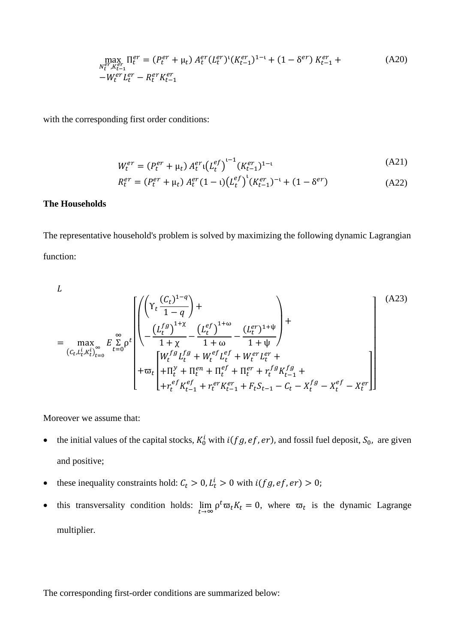$$
\max_{N_t^{er}, K_{t-1}^{er}} \Pi_t^{er} = (P_t^{er} + \mu_t) A_t^{er} (L_t^{er})^{\iota} (K_{t-1}^{er})^{1-\iota} + (1 - \delta^{er}) K_{t-1}^{er} + (A20) - W_t^{er} L_t^{er} - R_t^{er} K_{t-1}^{er}
$$

with the corresponding first order conditions:

$$
W_t^{er} = (P_t^{er} + \mu_t) A_t^{er} (\mathcal{L}_t^{ef})^{t-1} (K_{t-1}^{er})^{1-t}
$$
 (A21)

$$
R_t^{er} = (P_t^{er} + \mu_t) A_t^{er} (1 - \iota) (L_t^{ef})^{\iota} (K_{t-1}^{er})^{-\iota} + (1 - \delta^{er})
$$
 (A22)

#### **The Households**

The representative household's problem is solved by maximizing the following dynamic Lagrangian function:

$$
L
$$
\n
$$
= \max_{(c_t, L_t^i, K_t^i)_{t=0}^{\infty}} E \sum_{t=0}^{\infty} \rho^t \left[ \left( \frac{\left( Y_t \frac{(C_t)^{1-q}}{1-q} \right) + \frac{\left( L_t^{ef} \right)^{1+\omega}}{1+\chi} - \frac{\left( L_t^{ef} \right)^{1+\omega}}{1+\omega} - \frac{\left( L_t^{er} \right)^{1+\psi}}{1+\psi} \right) + \frac{\left( V_t^{ef} \sum_{t=0}^{1+\omega} \left( Y_t \frac{(C_t)^{1-q}}{1+\chi} \right) - \frac{\left( L_t^{ef} \right)^{1+\omega}}{1+\psi} \right)}{\left( V_t^{fg} \sum_{t=0}^{1+\omega} \left( V_t^{ef} \sum_{t=0}^{1+\omega} \left( Y_t \frac{(C_t)^{1-q}}{1+\chi_t^{ef}} \right) - \frac{\left( L_t^{er} \right)^{1+\psi}}{1+\psi} \right) + \frac{\left( V_t^{ef} \sum_{t=0}^{1+\omega} \left( Y_t \frac{(C_t)^{1-q}}{1+\chi_t^{ef}} \right) - \frac{\left( L_t^{ef} \right)^{1+\psi}}{1+\psi} \right)}{\left( V_t^{ef} \sum_{t=0}^{1+\omega} \left( V_t \frac{(C_t)^{1-q}}{1+\chi_t^{ef}} \right) - \frac{\left( L_t^{ef} \right)^{1+\psi}}{1+\psi} \right)} \right] \tag{A23}
$$

Moreover we assume that:

- the initial values of the capital stocks,  $K_0^i$  with  $i(fg, ef, er)$ , and fossil fuel deposit,  $S_0$ , are given and positive;
- these inequality constraints hold:  $C_t > 0$ ,  $L_t^i > 0$  with  $i(fg, ef, er) > 0$ ;
- this transversality condition holds:  $\lim_{t\to\infty} \rho^t \overline{\omega}_t K_t = 0$ , where  $\overline{\omega}_t$  is the dynamic Lagrange multiplier.

The corresponding first-order conditions are summarized below: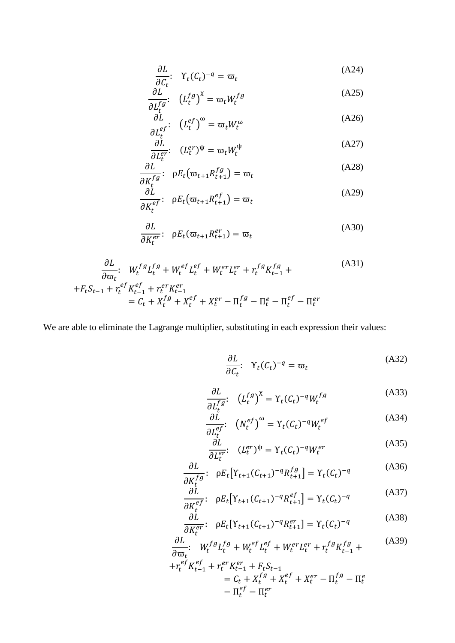$$
\frac{\partial L}{\partial C_t}: \quad \Upsilon_t(C_t)^{-q} = \varpi_t \tag{A24}
$$

$$
\frac{\partial L}{\partial L_t^{fg}} \colon \left( L_t^{fg} \right)^{\chi} = \varpi_t W_t^{fg} \tag{A25}
$$

$$
\frac{\partial L}{\partial L_t^{ef}}: \quad (L_t^{ef})^\omega = \varpi_t W_t^\omega \tag{A26}
$$

$$
\frac{\partial L}{\partial L_t^{er}}: \quad (L_t^{er})^{\psi} = \varpi_t W_t^{\psi} \tag{A27}
$$

$$
\frac{\partial L}{\partial K_t^{fg}}: \quad \rho E_t \big( \varpi_{t+1} R_{t+1}^{fg} \big) = \varpi_t \tag{A28}
$$

$$
\frac{\partial \tilde{L}}{\partial K_t^{ef}} \colon \rho E_t(\varpi_{t+1} R_{t+1}^{ef}) = \varpi_t \tag{A29}
$$

$$
\frac{\partial L}{\partial K_t^{er}} \colon \rho E_t(\varpi_{t+1} R_{t+1}^{er}) = \varpi_t \tag{A30}
$$

$$
\frac{\partial L}{\partial \varpi_t} : W_t^{fg} L_t^{fg} + W_t^{ef} L_t^{ef} + W_t^{er} L_t^{er} + r_t^{fg} K_{t-1}^{fg} +
$$
\n
$$
+ F_t S_{t-1} + r_t^{ef} K_{t-1}^{ef} + r_t^{er} K_{t-1}^{er}
$$
\n
$$
= C_t + X_t^{fg} + X_t^{ef} + X_t^{er} - \Pi_t^{fg} - \Pi_t^{ef} - \Pi_t^{ef}
$$
\n
$$
(A31)
$$

We are able to eliminate the Lagrange multiplier, substituting in each expression their values:

$$
\frac{\partial L}{\partial C_t}:\ \ \mathbf{\Upsilon}_t(C_t)^{-q} = \varpi_t \tag{A32}
$$

$$
\frac{\partial L}{\partial L_t^{fg}} \colon \left( L_t^{fg} \right)^{\chi} = \Upsilon_t (C_t)^{-q} W_t^{fg} \tag{A33}
$$

$$
\frac{\partial \dot{L}}{\partial L_t^{ef}} \qquad \left( N_t^{ef} \right)^{\omega} = \Upsilon_t (C_t)^{-q} W_t^{ef} \tag{A34}
$$

$$
\frac{\partial L}{\partial L_t^{er}}: \quad (L_t^{er})^{\psi} = \Upsilon_t (C_t)^{-q} W_t^{er} \tag{A35}
$$

$$
\frac{\partial L}{\partial K_t^{fg}} \colon \rho E_t \big[ Y_{t+1} (C_{t+1})^{-q} R_{t+1}^{fg} \big] = Y_t (C_t)^{-q} \tag{A36}
$$

$$
\frac{\partial L}{\partial K_t^{ef}} \colon \rho E_t \big[ Y_{t+1} (C_{t+1})^{-q} R_{t+1}^{ef} \big] = Y_t (C_t)^{-q}
$$
\n(A37)

$$
\frac{\partial L}{\partial K_t^{er}} \colon \rho E_t[\Upsilon_{t+1}(C_{t+1})^{-q} R_{t+1}^{er}] = \Upsilon_t(C_t)^{-q}
$$
\n(A38)

$$
\frac{\partial L}{\partial \varpi_t}: \quad W_t^{fg} L_t^{fg} + W_t^{ef} L_t^{ef} + W_t^{er} L_t^{er} + r_t^{fg} K_{t-1}^{fg} +
$$
\n
$$
+ r_t^{ef} K_{t-1}^{ef} + r_t^{er} K_{t-1}^{er} + F_t S_{t-1}
$$
\n
$$
= C_t + X_t^{fg} + X_t^{ef} + X_t^{er} - \Pi_t^{fg} - \Pi_t^{ef}
$$
\n
$$
- \Pi_t^{ef} - \Pi_t^{er}
$$
\n
$$
(A39)
$$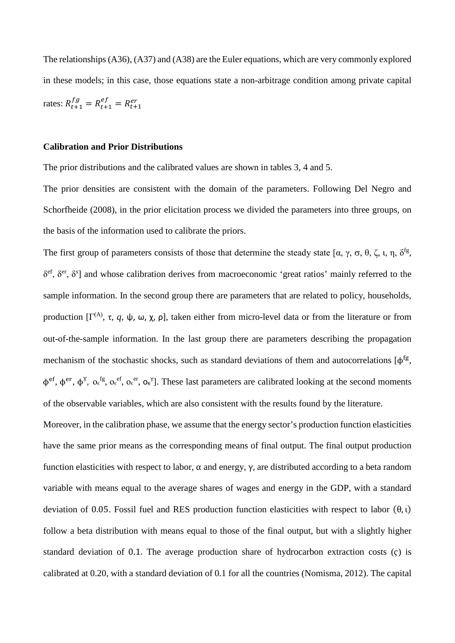The relationships (A36), (A37) and (A38) are the Euler equations, which are very commonly explored in these models; in this case, those equations state a non-arbitrage condition among private capital rates:  $R_{t+1}^{fg} = R_{t+1}^{ef} = R_{t+1}^{er}$ 

#### **Calibration and Prior Distributions**

The prior distributions and the calibrated values are shown in tables 3, 4 and 5.

The prior densities are consistent with the domain of the parameters. Following Del Negro and Schorfheide (2008), in the prior elicitation process we divided the parameters into three groups, on the basis of the information used to calibrate the priors.

The first group of parameters consists of those that determine the steady state [ $\alpha$ ,  $\gamma$ ,  $\sigma$ ,  $\theta$ ,  $\zeta$ ,  $\iota$ ,  $\eta$ ,  $\delta^{fg}$ ,  $\delta^{\rm ef}$ ,  $\delta^{\rm er}$ ,  $\delta^{\rm sf}$ ] and whose calibration derives from macroeconomic 'great ratios' mainly referred to the sample information. In the second group there are parameters that are related to policy, households, production [Γ<sup>(A)</sup>, τ, *q*, ψ, ω, χ, ρ], taken either from micro-level data or from the literature or from out-of-the-sample information. In the last group there are parameters describing the propagation mechanism of the stochastic shocks, such as standard deviations of them and autocorrelations  $[\phi^{\text{fg}}]$ ,  $\phi^{\text{ef}}, \phi^{\text{er}}, \phi^{\text{fg}}, \sigma_{\epsilon}^{\text{ef}}, \sigma_{\epsilon}^{\text{ef}}, \sigma_{\epsilon}^{\text{ef}}$ ,  $\phi_{\epsilon}^{\text{ef}}, \phi_{\epsilon}^{\text{ef}}, \phi_{\epsilon}^{\text{ef}}$ ,  $\phi_{\epsilon}^{\text{ef}}, \phi_{\epsilon}^{\text{ef}}, \sigma_{\epsilon}^{\text{ef}}, \phi_{\epsilon}^{\text{ef}}$ of the observable variables, which are also consistent with the results found by the literature.

Moreover, in the calibration phase, we assume that the energy sector's production function elasticities have the same prior means as the corresponding means of final output. The final output production function elasticities with respect to labor, α and energy, γ, are distributed according to a beta random variable with means equal to the average shares of wages and energy in the GDP, with a standard deviation of 0.05. Fossil fuel and RES production function elasticities with respect to labor  $(θ, ι)$ follow a beta distribution with means equal to those of the final output, but with a slightly higher standard deviation of 0.1. The average production share of hydrocarbon extraction costs  $(c)$  is calibrated at 0.20, with a standard deviation of 0.1 for all the countries (Nomisma, 2012). The capital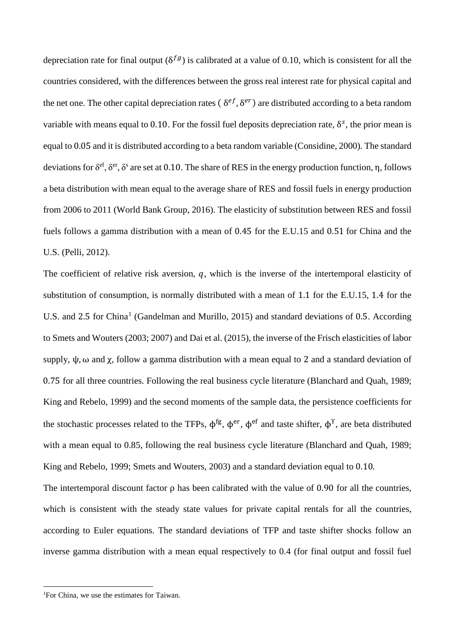depreciation rate for final output  $(\delta^{fg})$  is calibrated at a value of 0.10, which is consistent for all the countries considered, with the differences between the gross real interest rate for physical capital and the net one. The other capital depreciation rates ( $\delta^{ef}$ ,  $\delta^{er}$ ) are distributed according to a beta random variable with means equal to 0.10. For the fossil fuel deposits depreciation rate,  $\delta^s$ , the prior mean is equal to 0.05 and it is distributed according to a beta random variable (Considine, 2000). The standard deviations for  $\delta^{ef}$ ,  $\delta^{ef}$ ,  $\delta^{s}$  are set at 0.10. The share of RES in the energy production function, η, follows a beta distribution with mean equal to the average share of RES and fossil fuels in energy production from 2006 to 2011 (World Bank Group, 2016). The elasticity of substitution between RES and fossil fuels follows a gamma distribution with a mean of 0.45 for the E.U.15 and 0.51 for China and the U.S. (Pelli, 2012).

The coefficient of relative risk aversion,  $q$ , which is the inverse of the intertemporal elasticity of substitution of consumption, is normally distributed with a mean of 1.1 for the E.U.15, 1.4 for the U.S. and 2.5 for China<sup>[1](#page-7-0)</sup> (Gandelman and Murillo, 2015) and standard deviations of 0.5. According to Smets and Wouters (2003; 2007) and Dai et al. (2015), the inverse of the Frisch elasticities of labor supply,  $\psi$ ,  $\omega$  and  $\chi$ , follow a gamma distribution with a mean equal to 2 and a standard deviation of 0.75 for all three countries. Following the real business cycle literature (Blanchard and Quah, 1989; King and Rebelo, 1999) and the second moments of the sample data, the persistence coefficients for the stochastic processes related to the TFPs,  $\phi$ <sup>fg</sup>,  $\phi$ <sup>er</sup>,  $\phi$ <sup>ef</sup> and taste shifter,  $\phi$ <sup>Y</sup>, are beta distributed with a mean equal to 0.85, following the real business cycle literature (Blanchard and Quah, 1989; King and Rebelo, 1999; Smets and Wouters, 2003) and a standard deviation equal to 0.10.

The intertemporal discount factor ρ has been calibrated with the value of 0.90 for all the countries, which is consistent with the steady state values for private capital rentals for all the countries, according to Euler equations. The standard deviations of TFP and taste shifter shocks follow an inverse gamma distribution with a mean equal respectively to 0.4 (for final output and fossil fuel

**.** 

<span id="page-7-0"></span><sup>1</sup> For China, we use the estimates for Taiwan.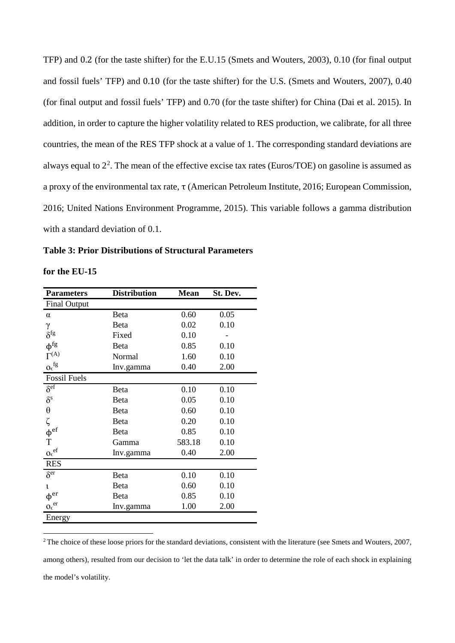TFP) and 0.2 (for the taste shifter) for the E.U.15 (Smets and Wouters, 2003), 0.10 (for final output and fossil fuels' TFP) and 0.10 (for the taste shifter) for the U.S. (Smets and Wouters, 2007), 0.40 (for final output and fossil fuels' TFP) and 0.70 (for the taste shifter) for China (Dai et al. 2015). In addition, in order to capture the higher volatility related to RES production, we calibrate, for all three countries, the mean of the RES TFP shock at a value of 1. The corresponding standard deviations are always equal to  $2<sup>2</sup>$  $2<sup>2</sup>$ . The mean of the effective excise tax rates (Euros/TOE) on gasoline is assumed as a proxy of the environmental tax rate, τ (American Petroleum Institute, 2016; European Commission, 2016; United Nations Environment Programme, 2015). This variable follows a gamma distribution with a standard deviation of 0.1.

**Table 3: Prior Distributions of Structural Parameters**

**.** 

| <b>Parameters</b>         | <b>Distribution</b> | <b>Mean</b> | St. Dev. |
|---------------------------|---------------------|-------------|----------|
| <b>Final Output</b>       |                     |             |          |
| α                         | Beta                | 0.60        | 0.05     |
| γ                         | Beta                | 0.02        | 0.10     |
| $\delta^{\text{fg}}$      | Fixed               | 0.10        |          |
| $\phi$ <sup>fg</sup>      | Beta                | 0.85        | 0.10     |
| $\Gamma^{(A)}$            | Normal              | 1.60        | 0.10     |
| $O_{\varepsilon}$ fg      | Inv.gamma           | 0.40        | 2.00     |
| <b>Fossil Fuels</b>       |                     |             |          |
| $\delta^{\rm ef}$         | Beta                | 0.10        | 0.10     |
| $\delta^{\rm s}$          | Beta                | 0.05        | 0.10     |
| $\theta$                  | Beta                | 0.60        | 0.10     |
| ζ                         | Beta                | 0.20        | 0.10     |
| $\phi$ <sup>ef</sup>      | Beta                | 0.85        | 0.10     |
| $\mathbf T$               | Gamma               | 583.18      | 0.10     |
| $o_{\varepsilon}{}^{ef}$  | Inv.gamma           | 0.40        | 2.00     |
| <b>RES</b>                |                     |             |          |
| $\delta^{\rm er}$         | Beta                | 0.10        | 0.10     |
| ι                         | Beta                | 0.60        | 0.10     |
| $\varphi^{\mathrm{er}}$   | Beta                | 0.85        | 0.10     |
| $o_{\varepsilon}^{\ e r}$ | Inv.gamma           | 1.00        | 2.00     |
| Energy                    |                     |             |          |

<span id="page-8-0"></span><sup>2</sup>The choice of these loose priors for the standard deviations, consistent with the literature (see Smets and Wouters, 2007, among others), resulted from our decision to 'let the data talk' in order to determine the role of each shock in explaining the model's volatility.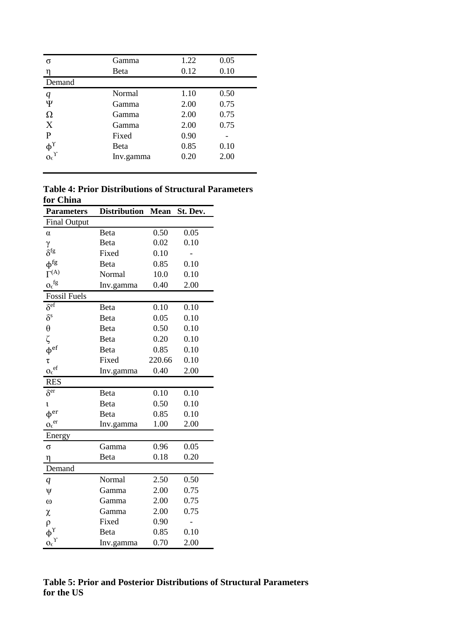| σ                                     | Gamma     | 1.22 | 0.05 |
|---------------------------------------|-----------|------|------|
| η                                     | Beta      | 0.12 | 0.10 |
| Demand                                |           |      |      |
| q                                     | Normal    | 1.10 | 0.50 |
| Ψ                                     | Gamma     | 2.00 | 0.75 |
| $\Omega$                              | Gamma     | 2.00 | 0.75 |
| X                                     | Gamma     | 2.00 | 0.75 |
| P                                     | Fixed     | 0.90 |      |
| $\phi_{\Omega_{\epsilon}}^{\Upsilon}$ | Beta      | 0.85 | 0.10 |
|                                       | Inv.gamma | 0.20 | 2.00 |
|                                       |           |      |      |

**Table 4: Prior Distributions of Structural Parameters for China**

| <b>Parameters</b>                                | <b>Distribution</b> | <b>Mean</b> | St. Dev. |
|--------------------------------------------------|---------------------|-------------|----------|
| <b>Final Output</b>                              |                     |             |          |
| α                                                | Beta                | 0.50        | 0.05     |
| γ                                                | Beta                | 0.02        | 0.10     |
| $\delta^{\rm fg}$                                | Fixed               | 0.10        |          |
| $\varphi^\text{fg}$                              | Beta                | 0.85        | 0.10     |
| $\Gamma^{(A)}$                                   | Normal              | 10.0        | 0.10     |
| $\mathbf{o} \boldsymbol{\epsilon}^\mathrm{fg}$   | Inv.gamma           | 0.40        | 2.00     |
| <b>Fossil Fuels</b>                              |                     |             |          |
| $\delta^{\rm ef}$                                | Beta                | 0.10        | 0.10     |
| $\delta^{\rm s}$                                 | Beta                | 0.05        | 0.10     |
| $\theta$                                         | Beta                | 0.50        | 0.10     |
| ζ                                                | Beta                | 0.20        | 0.10     |
| $\phi^{\rm ef}$                                  | Beta                | 0.85        | 0.10     |
| $\tau$                                           | Fixed               | 220.66      | 0.10     |
| $\mathbf{o}_{\epsilon}^{\phantom{\dag}}$         | Inv.gamma           | 0.40        | 2.00     |
| <b>RES</b>                                       |                     |             |          |
| $\delta^{\overline{\text{er}}}$                  | Beta                | 0.10        | 0.10     |
| ι                                                | Beta                | 0.50        | 0.10     |
| $\phi$ <sup>er</sup>                             | Beta                | 0.85        | 0.10     |
| ${\mathbf O}_{\varepsilon}^{\quad \, \text{er}}$ | Inv.gamma           | 1.00        | 2.00     |
| Energy                                           |                     |             |          |
| σ                                                | Gamma               | 0.96        | 0.05     |
| η                                                | Beta                | 0.18        | 0.20     |
| Demand                                           |                     |             |          |
| q                                                | Normal              | 2.50        | 0.50     |
| ψ                                                | Gamma               | 2.00        | 0.75     |
| $\omega$                                         | Gamma               | 2.00        | 0.75     |
| χ                                                | Gamma               | 2.00        | 0.75     |
| ρ                                                | Fixed               | 0.90        |          |
| $\phi^{\gamma}$                                  | Beta                | 0.85        | 0.10     |
| $o_{\varepsilon}^{\ \gamma}$                     | Inv.gamma           | 0.70        | 2.00     |

## **Table 5: Prior and Posterior Distributions of Structural Parameters for the US**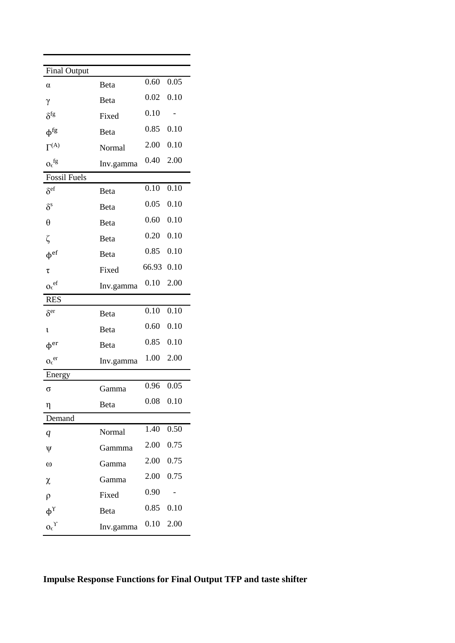| <b>Final Output</b>             |           |             |      |
|---------------------------------|-----------|-------------|------|
| α                               | Beta      | 0.60        | 0.05 |
| γ                               | Beta      | 0.02        | 0.10 |
| $\delta^{\rm fg}$               | Fixed     | 0.10        |      |
| $\phi$ <sup>fg</sup>            | Beta      | 0.85        | 0.10 |
| $\Gamma^{(A)}$                  | Normal    | 2.00        | 0.10 |
| $o_{\epsilon}$ fg               | Inv.gamma | 0.40        | 2.00 |
| <b>Fossil Fuels</b>             |           |             |      |
| $\delta^{\rm ef}$               | Beta      | 0.10        | 0.10 |
| $\delta^{\rm s}$                | Beta      | 0.05        | 0.10 |
| $\theta$                        | Beta      | 0.60        | 0.10 |
| ζ                               | Beta      | 0.20        | 0.10 |
| $\phi$ <sup>ef</sup>            | Beta      | 0.85        | 0.10 |
| τ                               | Fixed     | 66.93       | 0.10 |
| $o_{\varepsilon}^{\ e{f}}$      | Inv.gamma | 0.10        | 2.00 |
| <b>RES</b>                      |           |             |      |
| $\delta^{\rm er}$               | Beta      | 0.10        | 0.10 |
| ι                               | Beta      | 0.60        | 0.10 |
| $\phi$ <sup>er</sup>            | Beta      | 0.85        | 0.10 |
| $O_{\varepsilon}$ <sup>er</sup> | Inv.gamma | 1.00        | 2.00 |
| Energy                          |           |             |      |
| σ                               | Gamma     | 0.96        | 0.05 |
| η                               | Beta      | $0.08$ 0.10 |      |
| Demand                          |           |             |      |
| q                               | Normal    | 1.40        | 0.50 |
| ψ                               | Gammma    | 2.00        | 0.75 |
| $\omega$                        | Gamma     | 2.00        | 0.75 |
| χ                               | Gamma     | 2.00        | 0.75 |
| $\rho$                          | Fixed     | 0.90        |      |
| $\phi^{\Upsilon}$               | Beta      | 0.85        | 0.10 |
| $o_{\epsilon}^{\ \gamma}$       | Inv.gamma | 0.10        | 2.00 |

## **Impulse Response Functions for Final Output TFP and taste shifter**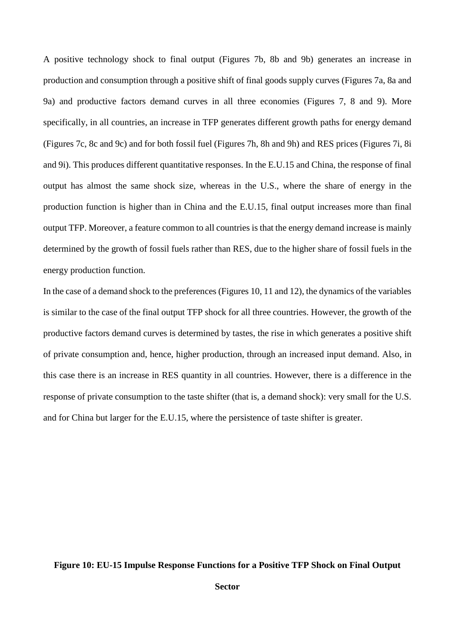A positive technology shock to final output (Figures 7b, 8b and 9b) generates an increase in production and consumption through a positive shift of final goods supply curves (Figures 7a, 8a and 9a) and productive factors demand curves in all three economies (Figures 7, 8 and 9). More specifically, in all countries, an increase in TFP generates different growth paths for energy demand (Figures 7c, 8c and 9c) and for both fossil fuel (Figures 7h, 8h and 9h) and RES prices (Figures 7i, 8i and 9i). This produces different quantitative responses. In the E.U.15 and China, the response of final output has almost the same shock size, whereas in the U.S., where the share of energy in the production function is higher than in China and the E.U.15, final output increases more than final output TFP. Moreover, a feature common to all countries is that the energy demand increase is mainly determined by the growth of fossil fuels rather than RES, due to the higher share of fossil fuels in the energy production function.

In the case of a demand shock to the preferences (Figures 10, 11 and 12), the dynamics of the variables is similar to the case of the final output TFP shock for all three countries. However, the growth of the productive factors demand curves is determined by tastes, the rise in which generates a positive shift of private consumption and, hence, higher production, through an increased input demand. Also, in this case there is an increase in RES quantity in all countries. However, there is a difference in the response of private consumption to the taste shifter (that is, a demand shock): very small for the U.S. and for China but larger for the E.U.15, where the persistence of taste shifter is greater.

#### **Figure 10: EU-15 Impulse Response Functions for a Positive TFP Shock on Final Output**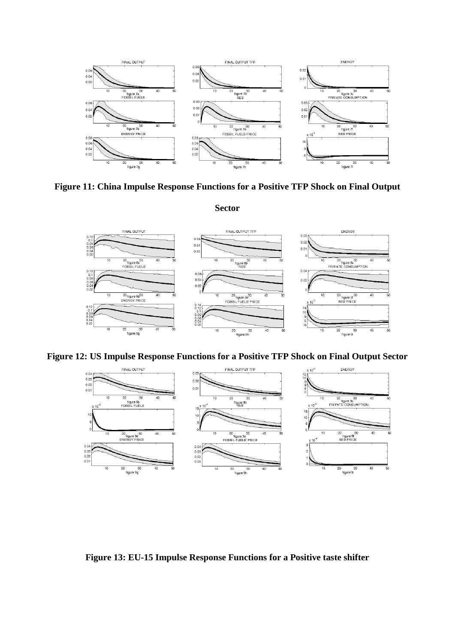

**Figure 11: China Impulse Response Functions for a Positive TFP Shock on Final Output** 

**Sector**



**Figure 12: US Impulse Response Functions for a Positive TFP Shock on Final Output Sector**



**Figure 13: EU-15 Impulse Response Functions for a Positive taste shifter**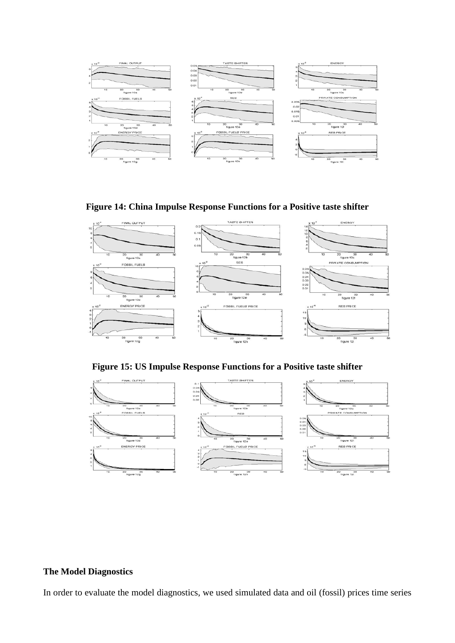

## **Figure 14: China Impulse Response Functions for a Positive taste shifter**



**Figure 15: US Impulse Response Functions for a Positive taste shifter**



### **The Model Diagnostics**

In order to evaluate the model diagnostics, we used simulated data and oil (fossil) prices time series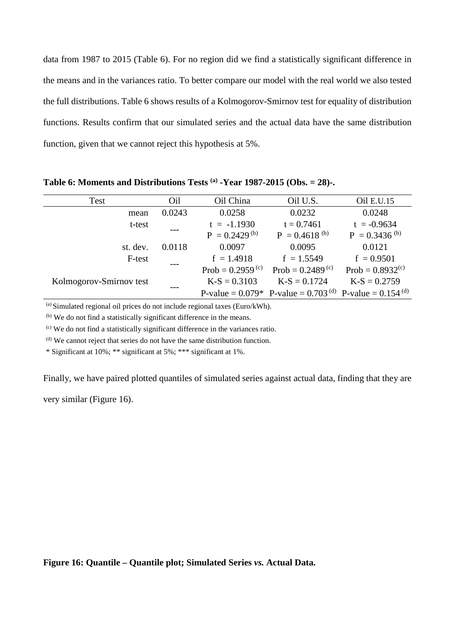data from 1987 to 2015 (Table 6). For no region did we find a statistically significant difference in the means and in the variances ratio. To better compare our model with the real world we also tested the full distributions. Table 6 shows results of a Kolmogorov-Smirnov test for equality of distribution functions. Results confirm that our simulated series and the actual data have the same distribution function, given that we cannot reject this hypothesis at 5%.

| Test                    | Oil    | Oil China             | Oil U.S.                                                           | Oil E.U.15            |
|-------------------------|--------|-----------------------|--------------------------------------------------------------------|-----------------------|
| mean                    | 0.0243 | 0.0258                | 0.0232                                                             | 0.0248                |
| t-test                  |        | $t = -1.1930$         | $t = 0.7461$                                                       | $t = -0.9634$         |
|                         |        | $P = 0.2429^{(b)}$    | $P = 0.4618^{(b)}$                                                 | $P = 0.3436^{(b)}$    |
| st. dev.                | 0.0118 | 0.0097                | 0.0095                                                             | 0.0121                |
| F-test                  |        | $f = 1.4918$          | $f = 1.5549$                                                       | $f = 0.9501$          |
|                         |        | Prob = $0.2959^{(c)}$ | Prob = $0.2489^{(c)}$                                              | Prob = $0.8932^{(c)}$ |
| Kolmogorov-Smirnov test |        | $K-S = 0.3103$        | $K-S = 0.1724$                                                     | $K-S = 0.2759$        |
|                         |        |                       | P-value = $0.079*$ P-value = $0.703^{(d)}$ P-value = $0.154^{(d)}$ |                       |

**Table 6: Moments and Distributions Tests (a) -Year 1987-2015 (Obs. = 28)-.**

 $\alpha$ ) Simulated regional oil prices do not include regional taxes (Euro/kWh).

(b) We do not find a statistically significant difference in the means.

(c) We do not find a statistically significant difference in the variances ratio.

(d) We cannot reject that series do not have the same distribution function.

\* Significant at 10%; \*\* significant at 5%; \*\*\* significant at 1%.

Finally, we have paired plotted quantiles of simulated series against actual data, finding that they are

very similar (Figure 16).

**Figure 16: Quantile – Quantile plot; Simulated Series** *vs.* **Actual Data.**